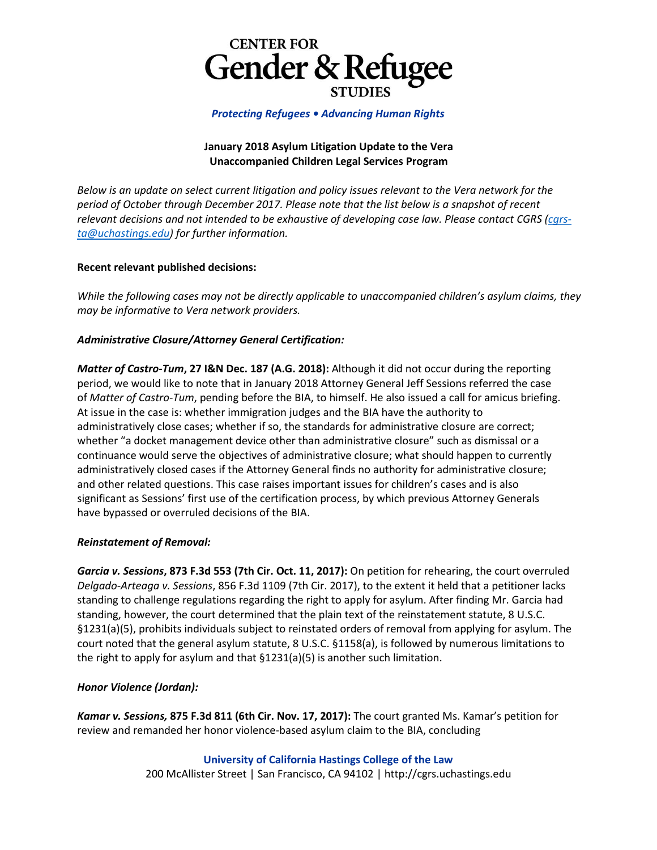

*Protecting Refugees • Advancing Human Rights*

## **January 2018 Asylum Litigation Update to the Vera Unaccompanied Children Legal Services Program**

*Below is an update on select current litigation and policy issues relevant to the Vera network for the period of October through December 2017. Please note that the list below is a snapshot of recent relevant decisions and not intended to be exhaustive of developing case law. Please contact CGRS [\(cgrs](mailto:cgrs-ta@uchastings.edu)[ta@uchastings.edu\)](mailto:cgrs-ta@uchastings.edu) for further information.*

### **Recent relevant published decisions:**

*While the following cases may not be directly applicable to unaccompanied children's asylum claims, they may be informative to Vera network providers.*

# *Administrative Closure/Attorney General Certification:*

*Matter of Castro-Tum***, 27 I&N Dec. 187 (A.G. 2018):** Although it did not occur during the reporting period, we would like to note that in January 2018 Attorney General Jeff Sessions referred the case of *Matter of Castro-Tum*, pending before the BIA, to himself. He also issued a call for amicus briefing. At issue in the case is: whether immigration judges and the BIA have the authority to administratively close cases; whether if so, the standards for administrative closure are correct; whether "a docket management device other than administrative closure" such as dismissal or a continuance would serve the objectives of administrative closure; what should happen to currently administratively closed cases if the Attorney General finds no authority for administrative closure; and other related questions. This case raises important issues for children's cases and is also significant as Sessions' first use of the certification process, by which previous Attorney Generals have bypassed or overruled decisions of the BIA.

### *Reinstatement of Removal:*

*Garcia v. Sessions***, 873 F.3d 553 (7th Cir. Oct. 11, 2017):** On petition for rehearing, the court overruled *Delgado-Arteaga v. Sessions*, 856 F.3d 1109 (7th Cir. 2017), to the extent it held that a petitioner lacks standing to challenge regulations regarding the right to apply for asylum. After finding Mr. Garcia had standing, however, the court determined that the plain text of the reinstatement statute, 8 U.S.C. §1231(a)(5), prohibits individuals subject to reinstated orders of removal from applying for asylum. The court noted that the general asylum statute, 8 U.S.C. §1158(a), is followed by numerous limitations to the right to apply for asylum and that §1231(a)(5) is another such limitation.

# *Honor Violence (Jordan):*

*Kamar v. Sessions,* **875 F.3d 811 (6th Cir. Nov. 17, 2017):** The court granted Ms. Kamar's petition for review and remanded her honor violence-based asylum claim to the BIA, concluding

# **University of California Hastings College of the Law**

200 McAllister Street | San Francisco, CA 94102 | [http://cgrs.uchastings.edu](http://cgrs.uchastings.edu/)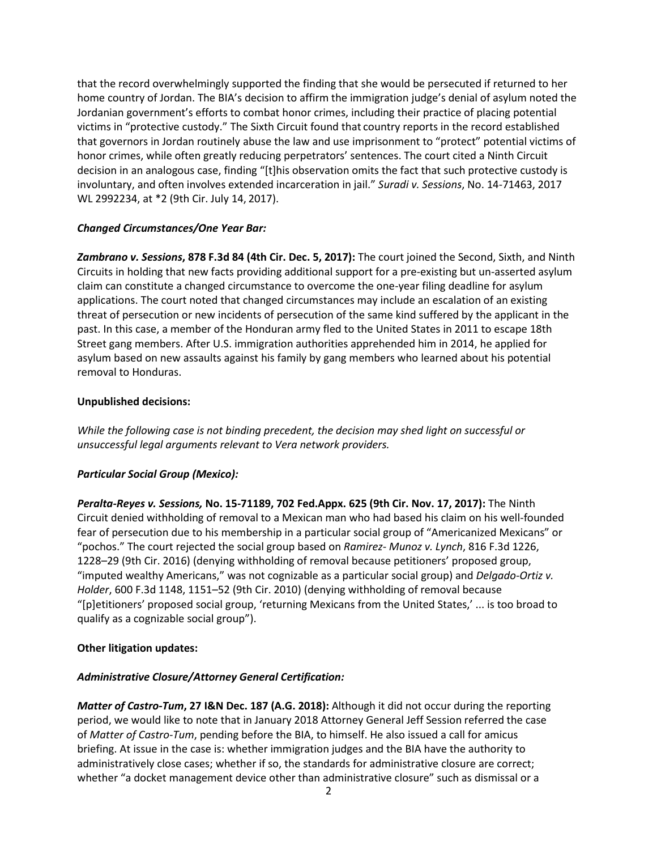that the record overwhelmingly supported the finding that she would be persecuted if returned to her home country of Jordan. The BIA's decision to affirm the immigration judge's denial of asylum noted the Jordanian government's efforts to combat honor crimes, including their practice of placing potential victims in "protective custody." The Sixth Circuit found that country reports in the record established that governors in Jordan routinely abuse the law and use imprisonment to "protect" potential victims of honor crimes, while often greatly reducing perpetrators' sentences. The court cited a Ninth Circuit decision in an analogous case, finding "[t]his observation omits the fact that such protective custody is involuntary, and often involves extended incarceration in jail." *Suradi v. Sessions*, No. 14-71463, 2017 WL 2992234, at \*2 (9th Cir. July 14, 2017).

## *Changed Circumstances/One Year Bar:*

*Zambrano v. Sessions***, 878 F.3d 84 (4th Cir. Dec. 5, 2017):** The court joined the Second, Sixth, and Ninth Circuits in holding that new facts providing additional support for a pre-existing but un-asserted asylum claim can constitute a changed circumstance to overcome the one-year filing deadline for asylum applications. The court noted that changed circumstances may include an escalation of an existing threat of persecution or new incidents of persecution of the same kind suffered by the applicant in the past. In this case, a member of the Honduran army fled to the United States in 2011 to escape 18th Street gang members. After U.S. immigration authorities apprehended him in 2014, he applied for asylum based on new assaults against his family by gang members who learned about his potential removal to Honduras.

## **Unpublished decisions:**

*While the following case is not binding precedent, the decision may shed light on successful or unsuccessful legal arguments relevant to Vera network providers.*

# *Particular Social Group (Mexico):*

*Peralta-Reyes v. Sessions,* **No. 15-71189, 702 Fed.Appx. 625 (9th Cir. Nov. 17, 2017):** The Ninth Circuit denied withholding of removal to a Mexican man who had based his claim on his well-founded fear of persecution due to his membership in a particular social group of "Americanized Mexicans" or "pochos." The court rejected the social group based on *Ramirez- Munoz v. Lynch*, 816 F.3d 1226, 1228–29 (9th Cir. 2016) (denying withholding of removal because petitioners' proposed group, "imputed wealthy Americans," was not cognizable as a particular social group) and *Delgado-Ortiz v. Holder*, 600 F.3d 1148, 1151–52 (9th Cir. 2010) (denying withholding of removal because "[p]etitioners' proposed social group, 'returning Mexicans from the United States,' ... is too broad to qualify as a cognizable social group").

### **Other litigation updates:**

# *Administrative Closure/Attorney General Certification:*

*Matter of Castro-Tum***, 27 I&N Dec. 187 (A.G. 2018):** Although it did not occur during the reporting period, we would like to note that in January 2018 Attorney General Jeff Session referred the case of *Matter of Castro-Tum*, pending before the BIA, to himself. He also issued a call for amicus briefing. At issue in the case is: whether immigration judges and the BIA have the authority to administratively close cases; whether if so, the standards for administrative closure are correct; whether "a docket management device other than administrative closure" such as dismissal or a